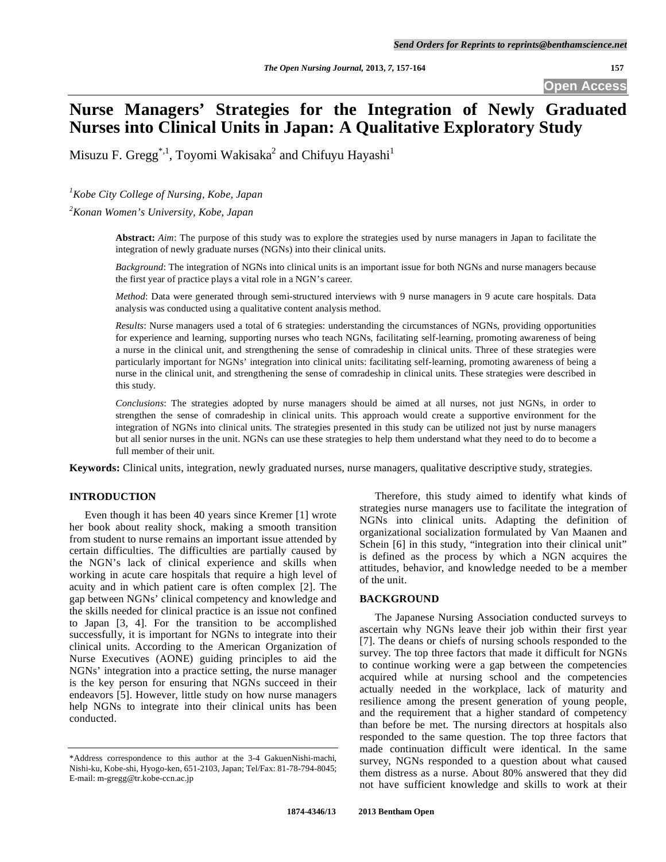**Open Access** 

# **Nurse Managers' Strategies for the Integration of Newly Graduated Nurses into Clinical Units in Japan: A Qualitative Exploratory Study**

Misuzu F. Gregg $^{\ast,1}$ , Toyomi Wakisaka $^2$  and Chifuyu Hayashi $^1$ 

*1 Kobe City College of Nursing, Kobe, Japan* 

*2 Konan Women's University, Kobe, Japan* 

**Abstract:** *Aim*: The purpose of this study was to explore the strategies used by nurse managers in Japan to facilitate the integration of newly graduate nurses (NGNs) into their clinical units.

*Background*: The integration of NGNs into clinical units is an important issue for both NGNs and nurse managers because the first year of practice plays a vital role in a NGN's career.

*Method*: Data were generated through semi-structured interviews with 9 nurse managers in 9 acute care hospitals. Data analysis was conducted using a qualitative content analysis method.

*Results*: Nurse managers used a total of 6 strategies: understanding the circumstances of NGNs, providing opportunities for experience and learning, supporting nurses who teach NGNs, facilitating self-learning, promoting awareness of being a nurse in the clinical unit, and strengthening the sense of comradeship in clinical units. Three of these strategies were particularly important for NGNs' integration into clinical units: facilitating self-learning, promoting awareness of being a nurse in the clinical unit, and strengthening the sense of comradeship in clinical units. These strategies were described in this study.

*Conclusions*: The strategies adopted by nurse managers should be aimed at all nurses, not just NGNs, in order to strengthen the sense of comradeship in clinical units. This approach would create a supportive environment for the integration of NGNs into clinical units. The strategies presented in this study can be utilized not just by nurse managers but all senior nurses in the unit. NGNs can use these strategies to help them understand what they need to do to become a full member of their unit.

**Keywords:** Clinical units, integration, newly graduated nurses, nurse managers, qualitative descriptive study, strategies.

## **INTRODUCTION**

 Even though it has been 40 years since Kremer [1] wrote her book about reality shock, making a smooth transition from student to nurse remains an important issue attended by certain difficulties. The difficulties are partially caused by the NGN's lack of clinical experience and skills when working in acute care hospitals that require a high level of acuity and in which patient care is often complex [2]. The gap between NGNs' clinical competency and knowledge and the skills needed for clinical practice is an issue not confined to Japan [3, 4]. For the transition to be accomplished successfully, it is important for NGNs to integrate into their clinical units. According to the American Organization of Nurse Executives (AONE) guiding principles to aid the NGNs' integration into a practice setting, the nurse manager is the key person for ensuring that NGNs succeed in their endeavors [5]. However, little study on how nurse managers help NGNs to integrate into their clinical units has been conducted.

 Therefore, this study aimed to identify what kinds of strategies nurse managers use to facilitate the integration of NGNs into clinical units. Adapting the definition of organizational socialization formulated by Van Maanen and Schein [6] in this study, "integration into their clinical unit" is defined as the process by which a NGN acquires the attitudes, behavior, and knowledge needed to be a member of the unit.

## **BACKGROUND**

 The Japanese Nursing Association conducted surveys to ascertain why NGNs leave their job within their first year [7]. The deans or chiefs of nursing schools responded to the survey. The top three factors that made it difficult for NGNs to continue working were a gap between the competencies acquired while at nursing school and the competencies actually needed in the workplace, lack of maturity and resilience among the present generation of young people, and the requirement that a higher standard of competency than before be met. The nursing directors at hospitals also responded to the same question. The top three factors that made continuation difficult were identical. In the same survey, NGNs responded to a question about what caused them distress as a nurse. About 80% answered that they did not have sufficient knowledge and skills to work at their

<sup>\*</sup>Address correspondence to this author at the 3-4 GakuenNishi-machi, Nishi-ku, Kobe-shi, Hyogo-ken, 651-2103, Japan; Tel/Fax: 81-78-794-8045; E-mail: m-gregg@tr.kobe-ccn.ac.jp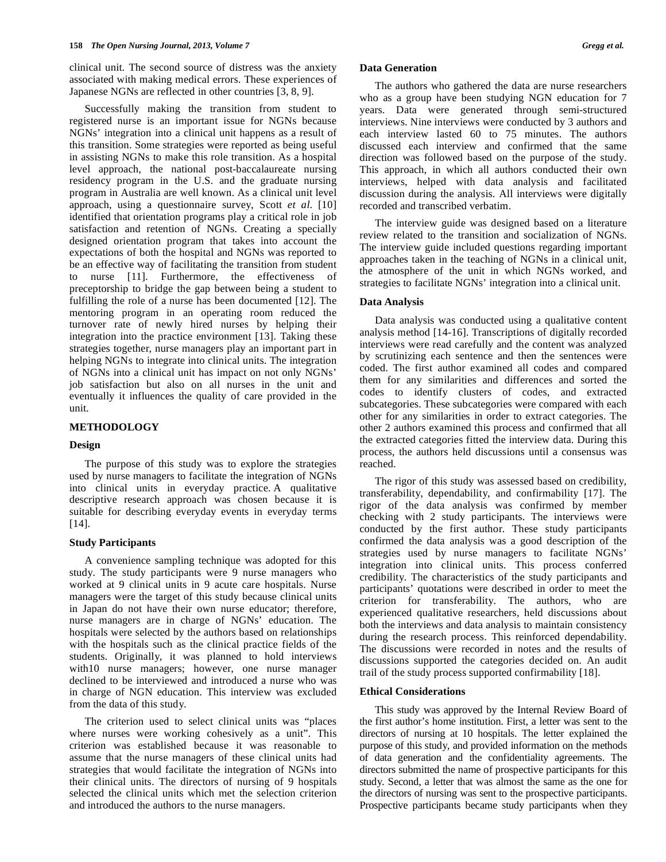clinical unit. The second source of distress was the anxiety associated with making medical errors. These experiences of Japanese NGNs are reflected in other countries [3, 8, 9].

 Successfully making the transition from student to registered nurse is an important issue for NGNs because NGNs' integration into a clinical unit happens as a result of this transition. Some strategies were reported as being useful in assisting NGNs to make this role transition. As a hospital level approach, the national post-baccalaureate nursing residency program in the U.S. and the graduate nursing program in Australia are well known. As a clinical unit level approach, using a questionnaire survey, Scott *et al*. [10] identified that orientation programs play a critical role in job satisfaction and retention of NGNs. Creating a specially designed orientation program that takes into account the expectations of both the hospital and NGNs was reported to be an effective way of facilitating the transition from student to nurse [11]. Furthermore, the effectiveness of preceptorship to bridge the gap between being a student to fulfilling the role of a nurse has been documented [12]. The mentoring program in an operating room reduced the turnover rate of newly hired nurses by helping their integration into the practice environment [13]. Taking these strategies together, nurse managers play an important part in helping NGNs to integrate into clinical units. The integration of NGNs into a clinical unit has impact on not only NGNs' job satisfaction but also on all nurses in the unit and eventually it influences the quality of care provided in the unit.

## **METHODOLOGY**

## **Design**

 The purpose of this study was to explore the strategies used by nurse managers to facilitate the integration of NGNs into clinical units in everyday practice. A qualitative descriptive research approach was chosen because it is suitable for describing everyday events in everyday terms [14].

## **Study Participants**

 A convenience sampling technique was adopted for this study. The study participants were 9 nurse managers who worked at 9 clinical units in 9 acute care hospitals. Nurse managers were the target of this study because clinical units in Japan do not have their own nurse educator; therefore, nurse managers are in charge of NGNs' education. The hospitals were selected by the authors based on relationships with the hospitals such as the clinical practice fields of the students. Originally, it was planned to hold interviews with10 nurse managers; however, one nurse manager declined to be interviewed and introduced a nurse who was in charge of NGN education. This interview was excluded from the data of this study.

 The criterion used to select clinical units was "places where nurses were working cohesively as a unit". This criterion was established because it was reasonable to assume that the nurse managers of these clinical units had strategies that would facilitate the integration of NGNs into their clinical units. The directors of nursing of 9 hospitals selected the clinical units which met the selection criterion and introduced the authors to the nurse managers.

## **Data Generation**

 The authors who gathered the data are nurse researchers who as a group have been studying NGN education for 7 years. Data were generated through semi-structured interviews. Nine interviews were conducted by 3 authors and each interview lasted 60 to 75 minutes. The authors discussed each interview and confirmed that the same direction was followed based on the purpose of the study. This approach, in which all authors conducted their own interviews, helped with data analysis and facilitated discussion during the analysis. All interviews were digitally recorded and transcribed verbatim.

 The interview guide was designed based on a literature review related to the transition and socialization of NGNs. The interview guide included questions regarding important approaches taken in the teaching of NGNs in a clinical unit, the atmosphere of the unit in which NGNs worked, and strategies to facilitate NGNs' integration into a clinical unit.

## **Data Analysis**

 Data analysis was conducted using a qualitative content analysis method [14-16]. Transcriptions of digitally recorded interviews were read carefully and the content was analyzed by scrutinizing each sentence and then the sentences were coded. The first author examined all codes and compared them for any similarities and differences and sorted the codes to identify clusters of codes, and extracted subcategories. These subcategories were compared with each other for any similarities in order to extract categories. The other 2 authors examined this process and confirmed that all the extracted categories fitted the interview data. During this process, the authors held discussions until a consensus was reached.

 The rigor of this study was assessed based on credibility, transferability, dependability, and confirmability [17]. The rigor of the data analysis was confirmed by member checking with 2 study participants. The interviews were conducted by the first author. These study participants confirmed the data analysis was a good description of the strategies used by nurse managers to facilitate NGNs' integration into clinical units. This process conferred credibility. The characteristics of the study participants and participants' quotations were described in order to meet the criterion for transferability. The authors, who are experienced qualitative researchers, held discussions about both the interviews and data analysis to maintain consistency during the research process. This reinforced dependability. The discussions were recorded in notes and the results of discussions supported the categories decided on. An audit trail of the study process supported confirmability [18].

## **Ethical Considerations**

 This study was approved by the Internal Review Board of the first author's home institution. First, a letter was sent to the directors of nursing at 10 hospitals. The letter explained the purpose of this study, and provided information on the methods of data generation and the confidentiality agreements. The directors submitted the name of prospective participants for this study. Second, a letter that was almost the same as the one for the directors of nursing was sent to the prospective participants. Prospective participants became study participants when they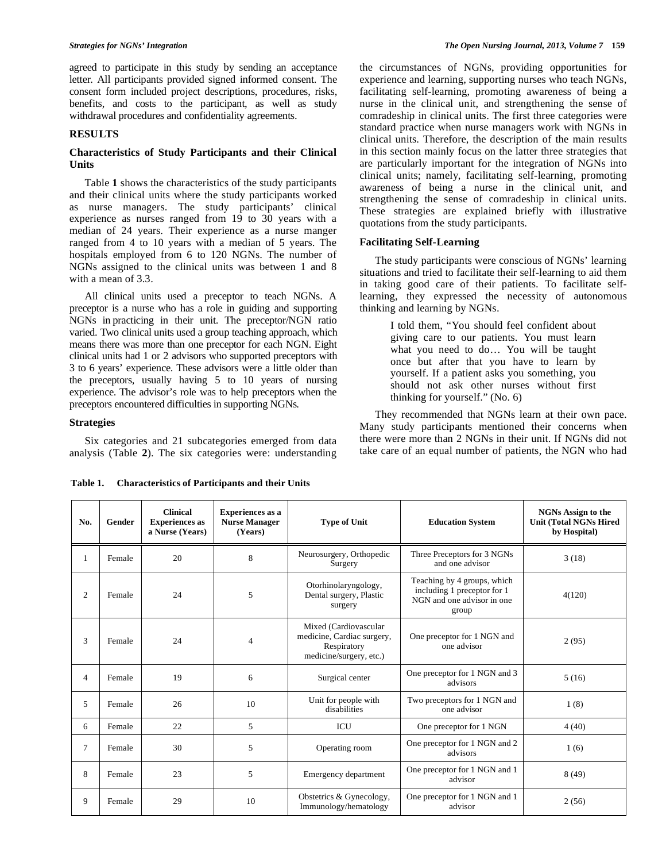agreed to participate in this study by sending an acceptance letter. All participants provided signed informed consent. The consent form included project descriptions, procedures, risks, benefits, and costs to the participant, as well as study withdrawal procedures and confidentiality agreements.

## **RESULTS**

## **Characteristics of Study Participants and their Clinical Units**

 Table **1** shows the characteristics of the study participants and their clinical units where the study participants worked as nurse managers. The study participants' clinical experience as nurses ranged from 19 to 30 years with a median of 24 years. Their experience as a nurse manger ranged from 4 to 10 years with a median of 5 years. The hospitals employed from 6 to 120 NGNs. The number of NGNs assigned to the clinical units was between 1 and 8 with a mean of 3.3.

 All clinical units used a preceptor to teach NGNs. A preceptor is a nurse who has a role in guiding and supporting NGNs in practicing in their unit. The preceptor/NGN ratio varied. Two clinical units used a group teaching approach, which means there was more than one preceptor for each NGN. Eight clinical units had 1 or 2 advisors who supported preceptors with 3 to 6 years' experience. These advisors were a little older than the preceptors, usually having 5 to 10 years of nursing experience. The advisor's role was to help preceptors when the preceptors encountered difficulties in supporting NGNs.

## **Strategies**

 Six categories and 21 subcategories emerged from data analysis (Table **2**). The six categories were: understanding the circumstances of NGNs, providing opportunities for experience and learning, supporting nurses who teach NGNs, facilitating self-learning, promoting awareness of being a nurse in the clinical unit, and strengthening the sense of comradeship in clinical units. The first three categories were standard practice when nurse managers work with NGNs in clinical units. Therefore, the description of the main results in this section mainly focus on the latter three strategies that are particularly important for the integration of NGNs into clinical units; namely, facilitating self-learning, promoting awareness of being a nurse in the clinical unit, and strengthening the sense of comradeship in clinical units. These strategies are explained briefly with illustrative quotations from the study participants.

## **Facilitating Self-Learning**

 The study participants were conscious of NGNs' learning situations and tried to facilitate their self-learning to aid them in taking good care of their patients. To facilitate selflearning, they expressed the necessity of autonomous thinking and learning by NGNs.

> I told them, "You should feel confident about giving care to our patients. You must learn what you need to do… You will be taught once but after that you have to learn by yourself. If a patient asks you something, you should not ask other nurses without first thinking for yourself." (No. 6)

 They recommended that NGNs learn at their own pace. Many study participants mentioned their concerns when there were more than 2 NGNs in their unit. If NGNs did not take care of an equal number of patients, the NGN who had

| No.            | Gender | <b>Clinical</b><br><b>Experiences as</b><br>a Nurse (Years) | <b>Experiences</b> as a<br><b>Nurse Manager</b><br>(Years) | <b>Type of Unit</b>                                                                           | <b>Education System</b>                                                                           | <b>NGNs Assign to the</b><br><b>Unit (Total NGNs Hired)</b><br>by Hospital) |
|----------------|--------|-------------------------------------------------------------|------------------------------------------------------------|-----------------------------------------------------------------------------------------------|---------------------------------------------------------------------------------------------------|-----------------------------------------------------------------------------|
| 1              | Female | 20                                                          | 8                                                          | Neurosurgery, Orthopedic<br>Surgery                                                           | Three Preceptors for 3 NGNs<br>and one advisor                                                    | 3(18)                                                                       |
| $\overline{c}$ | Female | 24                                                          | 5                                                          | Otorhinolaryngology,<br>Dental surgery, Plastic<br>surgery                                    | Teaching by 4 groups, which<br>including 1 preceptor for 1<br>NGN and one advisor in one<br>group | 4(120)                                                                      |
| 3              | Female | 24                                                          | $\overline{4}$                                             | Mixed (Cardiovascular<br>medicine, Cardiac surgery,<br>Respiratory<br>medicine/surgery, etc.) | One preceptor for 1 NGN and<br>one advisor                                                        | 2(95)                                                                       |
| $\overline{4}$ | Female | 19                                                          | 6                                                          | Surgical center                                                                               | One preceptor for 1 NGN and 3<br>advisors                                                         | 5(16)                                                                       |
| 5              | Female | 26                                                          | 10                                                         | Unit for people with<br>disabilities                                                          | Two preceptors for 1 NGN and<br>one advisor                                                       | 1(8)                                                                        |
| 6              | Female | 22                                                          | 5                                                          | ICU                                                                                           | One preceptor for 1 NGN                                                                           | 4(40)                                                                       |
| 7              | Female | 30                                                          | 5                                                          | Operating room                                                                                | One preceptor for 1 NGN and 2<br>advisors                                                         | 1(6)                                                                        |
| 8              | Female | 23                                                          | 5                                                          | Emergency department                                                                          | One preceptor for 1 NGN and 1<br>advisor                                                          | 8(49)                                                                       |
| 9              | Female | 29                                                          | 10                                                         | Obstetrics & Gynecology,<br>Immunology/hematology                                             | One preceptor for 1 NGN and 1<br>advisor                                                          | 2(56)                                                                       |

**Table 1. Characteristics of Participants and their Units**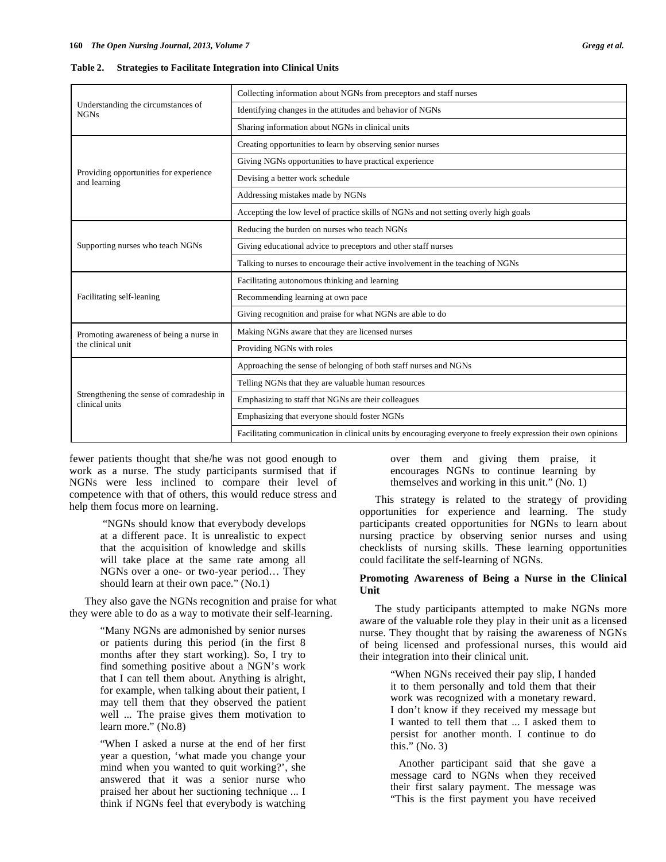|                                                             | Collecting information about NGNs from preceptors and staff nurses                                           |  |  |
|-------------------------------------------------------------|--------------------------------------------------------------------------------------------------------------|--|--|
| Understanding the circumstances of<br><b>NGNs</b>           | Identifying changes in the attitudes and behavior of NGNs                                                    |  |  |
|                                                             | Sharing information about NGNs in clinical units                                                             |  |  |
|                                                             | Creating opportunities to learn by observing senior nurses                                                   |  |  |
|                                                             | Giving NGNs opportunities to have practical experience                                                       |  |  |
| Providing opportunities for experience<br>and learning      | Devising a better work schedule                                                                              |  |  |
|                                                             | Addressing mistakes made by NGNs                                                                             |  |  |
|                                                             | Accepting the low level of practice skills of NGNs and not setting overly high goals                         |  |  |
|                                                             | Reducing the burden on nurses who teach NGNs                                                                 |  |  |
| Supporting nurses who teach NGNs                            | Giving educational advice to preceptors and other staff nurses                                               |  |  |
|                                                             | Talking to nurses to encourage their active involvement in the teaching of NGNs                              |  |  |
|                                                             | Facilitating autonomous thinking and learning                                                                |  |  |
| Facilitating self-leaning                                   | Recommending learning at own pace                                                                            |  |  |
|                                                             | Giving recognition and praise for what NGNs are able to do                                                   |  |  |
| Promoting awareness of being a nurse in                     | Making NGNs aware that they are licensed nurses                                                              |  |  |
| the clinical unit                                           | Providing NGNs with roles                                                                                    |  |  |
|                                                             | Approaching the sense of belonging of both staff nurses and NGNs                                             |  |  |
|                                                             | Telling NGNs that they are valuable human resources                                                          |  |  |
| Strengthening the sense of comradeship in<br>clinical units | Emphasizing to staff that NGNs are their colleagues                                                          |  |  |
|                                                             | Emphasizing that everyone should foster NGNs                                                                 |  |  |
|                                                             | Facilitating communication in clinical units by encouraging everyone to freely expression their own opinions |  |  |

fewer patients thought that she/he was not good enough to work as a nurse. The study participants surmised that if NGNs were less inclined to compare their level of competence with that of others, this would reduce stress and help them focus more on learning.

> "NGNs should know that everybody develops at a different pace. It is unrealistic to expect that the acquisition of knowledge and skills will take place at the same rate among all NGNs over a one- or two-year period… They should learn at their own pace." (No.1)

 They also gave the NGNs recognition and praise for what they were able to do as a way to motivate their self-learning.

> "Many NGNs are admonished by senior nurses or patients during this period (in the first 8 months after they start working). So, I try to find something positive about a NGN's work that I can tell them about. Anything is alright, for example, when talking about their patient, I may tell them that they observed the patient well ... The praise gives them motivation to learn more." (No.8)

> "When I asked a nurse at the end of her first year a question, 'what made you change your mind when you wanted to quit working?', she answered that it was a senior nurse who praised her about her suctioning technique ... I think if NGNs feel that everybody is watching

over them and giving them praise, it encourages NGNs to continue learning by themselves and working in this unit." (No. 1)

 This strategy is related to the strategy of providing opportunities for experience and learning. The study participants created opportunities for NGNs to learn about nursing practice by observing senior nurses and using checklists of nursing skills. These learning opportunities could facilitate the self-learning of NGNs.

## **Promoting Awareness of Being a Nurse in the Clinical Unit**

 The study participants attempted to make NGNs more aware of the valuable role they play in their unit as a licensed nurse. They thought that by raising the awareness of NGNs of being licensed and professional nurses, this would aid their integration into their clinical unit.

> "When NGNs received their pay slip, I handed it to them personally and told them that their work was recognized with a monetary reward. I don't know if they received my message but I wanted to tell them that ... I asked them to persist for another month. I continue to do this." (No. 3)

> Another participant said that she gave a message card to NGNs when they received their first salary payment. The message was "This is the first payment you have received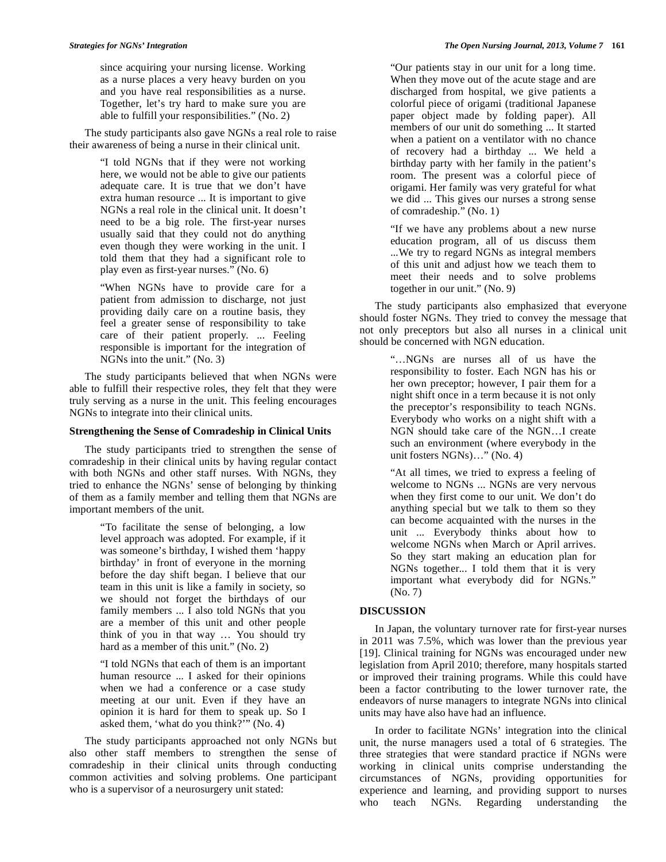since acquiring your nursing license. Working as a nurse places a very heavy burden on you and you have real responsibilities as a nurse. Together, let's try hard to make sure you are able to fulfill your responsibilities." (No. 2)

 The study participants also gave NGNs a real role to raise their awareness of being a nurse in their clinical unit.

> "I told NGNs that if they were not working here, we would not be able to give our patients adequate care. It is true that we don't have extra human resource ... It is important to give NGNs a real role in the clinical unit. It doesn't need to be a big role. The first-year nurses usually said that they could not do anything even though they were working in the unit. I told them that they had a significant role to play even as first-year nurses." (No. 6)

> "When NGNs have to provide care for a patient from admission to discharge, not just providing daily care on a routine basis, they feel a greater sense of responsibility to take care of their patient properly. ... Feeling responsible is important for the integration of NGNs into the unit." (No. 3)

 The study participants believed that when NGNs were able to fulfill their respective roles, they felt that they were truly serving as a nurse in the unit. This feeling encourages NGNs to integrate into their clinical units.

## **Strengthening the Sense of Comradeship in Clinical Units**

 The study participants tried to strengthen the sense of comradeship in their clinical units by having regular contact with both NGNs and other staff nurses. With NGNs, they tried to enhance the NGNs' sense of belonging by thinking of them as a family member and telling them that NGNs are important members of the unit.

> "To facilitate the sense of belonging, a low level approach was adopted. For example, if it was someone's birthday, I wished them 'happy birthday' in front of everyone in the morning before the day shift began. I believe that our team in this unit is like a family in society, so we should not forget the birthdays of our family members ... I also told NGNs that you are a member of this unit and other people think of you in that way … You should try hard as a member of this unit." (No. 2)

> "I told NGNs that each of them is an important human resource ... I asked for their opinions when we had a conference or a case study meeting at our unit. Even if they have an opinion it is hard for them to speak up. So I asked them, 'what do you think?'" (No. 4)

 The study participants approached not only NGNs but also other staff members to strengthen the sense of comradeship in their clinical units through conducting common activities and solving problems. One participant who is a supervisor of a neurosurgery unit stated:

"Our patients stay in our unit for a long time. When they move out of the acute stage and are discharged from hospital, we give patients a colorful piece of origami (traditional Japanese paper object made by folding paper). All members of our unit do something ... It started when a patient on a ventilator with no chance of recovery had a birthday ... We held a birthday party with her family in the patient's room. The present was a colorful piece of origami. Her family was very grateful for what we did ... This gives our nurses a strong sense of comradeship." (No. 1)

"If we have any problems about a new nurse education program, all of us discuss them ...We try to regard NGNs as integral members of this unit and adjust how we teach them to meet their needs and to solve problems together in our unit." (No. 9)

 The study participants also emphasized that everyone should foster NGNs. They tried to convey the message that not only preceptors but also all nurses in a clinical unit should be concerned with NGN education.

> "…NGNs are nurses all of us have the responsibility to foster. Each NGN has his or her own preceptor; however, I pair them for a night shift once in a term because it is not only the preceptor's responsibility to teach NGNs. Everybody who works on a night shift with a NGN should take care of the NGN…I create such an environment (where everybody in the unit fosters NGNs)…" (No. 4)

> "At all times, we tried to express a feeling of welcome to NGNs ... NGNs are very nervous when they first come to our unit. We don't do anything special but we talk to them so they can become acquainted with the nurses in the unit ... Everybody thinks about how to welcome NGNs when March or April arrives. So they start making an education plan for NGNs together... I told them that it is very important what everybody did for NGNs." (No. 7)

## **DISCUSSION**

 In Japan, the voluntary turnover rate for first-year nurses in 2011 was 7.5%, which was lower than the previous year [19]. Clinical training for NGNs was encouraged under new legislation from April 2010; therefore, many hospitals started or improved their training programs. While this could have been a factor contributing to the lower turnover rate, the endeavors of nurse managers to integrate NGNs into clinical units may have also have had an influence.

 In order to facilitate NGNs' integration into the clinical unit, the nurse managers used a total of 6 strategies. The three strategies that were standard practice if NGNs were working in clinical units comprise understanding the circumstances of NGNs, providing opportunities for experience and learning, and providing support to nurses who teach NGNs. Regarding understanding the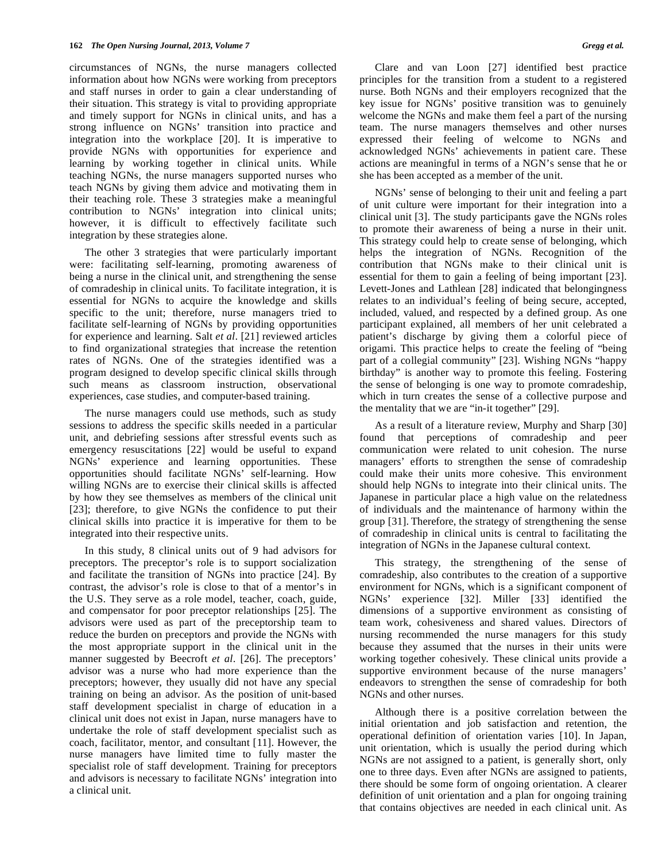circumstances of NGNs, the nurse managers collected information about how NGNs were working from preceptors and staff nurses in order to gain a clear understanding of their situation. This strategy is vital to providing appropriate and timely support for NGNs in clinical units, and has a strong influence on NGNs' transition into practice and integration into the workplace [20]. It is imperative to provide NGNs with opportunities for experience and learning by working together in clinical units. While teaching NGNs, the nurse managers supported nurses who teach NGNs by giving them advice and motivating them in their teaching role. These 3 strategies make a meaningful contribution to NGNs' integration into clinical units; however, it is difficult to effectively facilitate such integration by these strategies alone.

 The other 3 strategies that were particularly important were: facilitating self-learning, promoting awareness of being a nurse in the clinical unit, and strengthening the sense of comradeship in clinical units. To facilitate integration, it is essential for NGNs to acquire the knowledge and skills specific to the unit; therefore, nurse managers tried to facilitate self-learning of NGNs by providing opportunities for experience and learning. Salt *et al*. [21] reviewed articles to find organizational strategies that increase the retention rates of NGNs. One of the strategies identified was a program designed to develop specific clinical skills through such means as classroom instruction, observational experiences, case studies, and computer-based training.

 The nurse managers could use methods, such as study sessions to address the specific skills needed in a particular unit, and debriefing sessions after stressful events such as emergency resuscitations [22] would be useful to expand NGNs' experience and learning opportunities. These opportunities should facilitate NGNs' self-learning. How willing NGNs are to exercise their clinical skills is affected by how they see themselves as members of the clinical unit [23]; therefore, to give NGNs the confidence to put their clinical skills into practice it is imperative for them to be integrated into their respective units.

 In this study, 8 clinical units out of 9 had advisors for preceptors. The preceptor's role is to support socialization and facilitate the transition of NGNs into practice [24]. By contrast, the advisor's role is close to that of a mentor's in the U.S. They serve as a role model, teacher, coach, guide, and compensator for poor preceptor relationships [25]. The advisors were used as part of the preceptorship team to reduce the burden on preceptors and provide the NGNs with the most appropriate support in the clinical unit in the manner suggested by Beecroft *et al*. [26]. The preceptors' advisor was a nurse who had more experience than the preceptors; however, they usually did not have any special training on being an advisor. As the position of unit-based staff development specialist in charge of education in a clinical unit does not exist in Japan, nurse managers have to undertake the role of staff development specialist such as coach, facilitator, mentor, and consultant [11]. However, the nurse managers have limited time to fully master the specialist role of staff development. Training for preceptors and advisors is necessary to facilitate NGNs' integration into a clinical unit.

key issue for NGNs' positive transition was to genuinely welcome the NGNs and make them feel a part of the nursing team. The nurse managers themselves and other nurses expressed their feeling of welcome to NGNs and acknowledged NGNs' achievements in patient care. These actions are meaningful in terms of a NGN's sense that he or she has been accepted as a member of the unit.

 NGNs' sense of belonging to their unit and feeling a part of unit culture were important for their integration into a clinical unit [3]. The study participants gave the NGNs roles to promote their awareness of being a nurse in their unit. This strategy could help to create sense of belonging, which helps the integration of NGNs. Recognition of the contribution that NGNs make to their clinical unit is essential for them to gain a feeling of being important [23]. Levett-Jones and Lathlean [28] indicated that belongingness relates to an individual's feeling of being secure, accepted, included, valued, and respected by a defined group. As one participant explained, all members of her unit celebrated a patient's discharge by giving them a colorful piece of origami. This practice helps to create the feeling of "being part of a collegial community" [23]. Wishing NGNs "happy birthday" is another way to promote this feeling. Fostering the sense of belonging is one way to promote comradeship, which in turn creates the sense of a collective purpose and the mentality that we are "in-it together" [29].

 As a result of a literature review, Murphy and Sharp [30] found that perceptions of comradeship and peer communication were related to unit cohesion. The nurse managers' efforts to strengthen the sense of comradeship could make their units more cohesive. This environment should help NGNs to integrate into their clinical units. The Japanese in particular place a high value on the relatedness of individuals and the maintenance of harmony within the group [31]. Therefore, the strategy of strengthening the sense of comradeship in clinical units is central to facilitating the integration of NGNs in the Japanese cultural context.

 This strategy, the strengthening of the sense of comradeship, also contributes to the creation of a supportive environment for NGNs, which is a significant component of NGNs' experience [32]. Miller [33] identified the dimensions of a supportive environment as consisting of team work, cohesiveness and shared values. Directors of nursing recommended the nurse managers for this study because they assumed that the nurses in their units were working together cohesively. These clinical units provide a supportive environment because of the nurse managers' endeavors to strengthen the sense of comradeship for both NGNs and other nurses.

 Although there is a positive correlation between the initial orientation and job satisfaction and retention, the operational definition of orientation varies [10]. In Japan, unit orientation, which is usually the period during which NGNs are not assigned to a patient, is generally short, only one to three days. Even after NGNs are assigned to patients, there should be some form of ongoing orientation. A clearer definition of unit orientation and a plan for ongoing training that contains objectives are needed in each clinical unit. As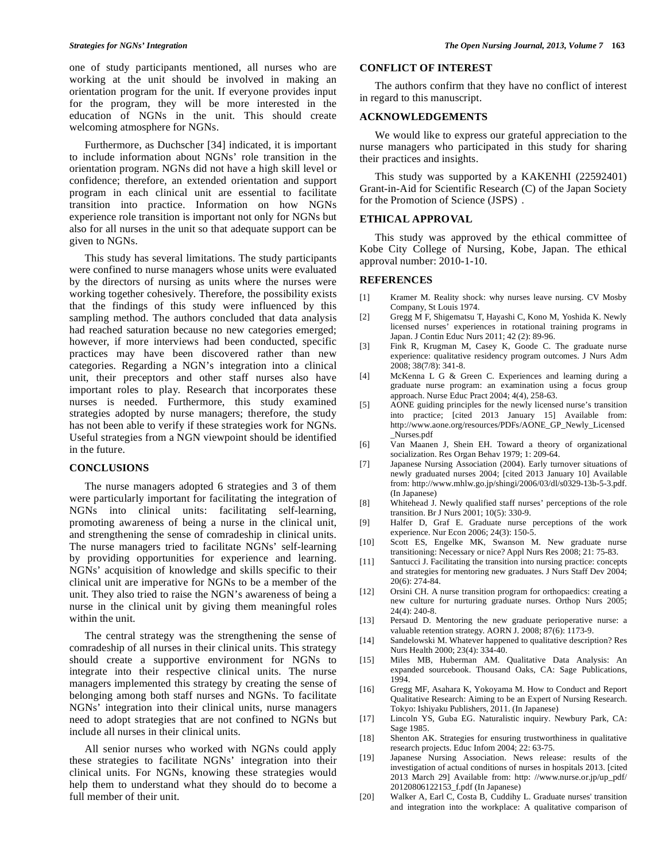one of study participants mentioned, all nurses who are working at the unit should be involved in making an orientation program for the unit. If everyone provides input for the program, they will be more interested in the education of NGNs in the unit. This should create welcoming atmosphere for NGNs.

 Furthermore, as Duchscher [34] indicated, it is important to include information about NGNs' role transition in the orientation program. NGNs did not have a high skill level or confidence; therefore, an extended orientation and support program in each clinical unit are essential to facilitate transition into practice. Information on how NGNs experience role transition is important not only for NGNs but also for all nurses in the unit so that adequate support can be given to NGNs.

 This study has several limitations. The study participants were confined to nurse managers whose units were evaluated by the directors of nursing as units where the nurses were working together cohesively. Therefore, the possibility exists that the findings of this study were influenced by this sampling method. The authors concluded that data analysis had reached saturation because no new categories emerged; however, if more interviews had been conducted, specific practices may have been discovered rather than new categories. Regarding a NGN's integration into a clinical unit, their preceptors and other staff nurses also have important roles to play. Research that incorporates these nurses is needed. Furthermore, this study examined strategies adopted by nurse managers; therefore, the study has not been able to verify if these strategies work for NGNs. Useful strategies from a NGN viewpoint should be identified in the future.

### **CONCLUSIONS**

 The nurse managers adopted 6 strategies and 3 of them were particularly important for facilitating the integration of NGNs into clinical units: facilitating self-learning, promoting awareness of being a nurse in the clinical unit, and strengthening the sense of comradeship in clinical units. The nurse managers tried to facilitate NGNs' self-learning by providing opportunities for experience and learning. NGNs' acquisition of knowledge and skills specific to their clinical unit are imperative for NGNs to be a member of the unit. They also tried to raise the NGN's awareness of being a nurse in the clinical unit by giving them meaningful roles within the unit.

 The central strategy was the strengthening the sense of comradeship of all nurses in their clinical units. This strategy should create a supportive environment for NGNs to integrate into their respective clinical units. The nurse managers implemented this strategy by creating the sense of belonging among both staff nurses and NGNs. To facilitate NGNs' integration into their clinical units, nurse managers need to adopt strategies that are not confined to NGNs but include all nurses in their clinical units.

 All senior nurses who worked with NGNs could apply these strategies to facilitate NGNs' integration into their clinical units. For NGNs, knowing these strategies would help them to understand what they should do to become a full member of their unit.

## **CONFLICT OF INTEREST**

 The authors confirm that they have no conflict of interest in regard to this manuscript.

#### **ACKNOWLEDGEMENTS**

 We would like to express our grateful appreciation to the nurse managers who participated in this study for sharing their practices and insights.

 This study was supported by a KAKENHI (22592401) Grant-in-Aid for Scientific Research (C) of the Japan Society for the Promotion of Science (JSPS)

## **ETHICAL APPROVAL**

 This study was approved by the ethical committee of Kobe City College of Nursing, Kobe, Japan. The ethical approval number: 2010-1-10.

## **REFERENCES**

- [1] Kramer M. Reality shock: why nurses leave nursing. CV Mosby Company, St Louis 1974.
- [2] Gregg M F, Shigematsu T, Hayashi C, Kono M, Yoshida K. Newly licensed nurses' experiences in rotational training programs in Japan. J Contin Educ Nurs 2011; 42 (2): 89-96.
- [3] Fink R, Krugman M, Casey K, Goode C. The graduate nurse experience: qualitative residency program outcomes. J Nurs Adm 2008; 38(7/8): 341-8.
- [4] McKenna L G & Green C. Experiences and learning during a graduate nurse program: an examination using a focus group approach. Nurse Educ Pract 2004; 4(4), 258-63.
- [5] AONE guiding principles for the newly licensed nurse's transition into practice; [cited 2013 January 15] Available from: http://www.aone.org/resources/PDFs/AONE\_GP\_Newly\_Licensed \_Nurses.pdf
- [6] Van Maanen J, Shein EH. Toward a theory of organizational socialization. Res Organ Behav 1979; 1: 209-64.
- [7] Japanese Nursing Association (2004). Early turnover situations of newly graduated nurses 2004; [cited 2013 January 10] Available from: http://www.mhlw.go.jp/shingi/2006/03/dl/s0329-13b-5-3.pdf. (In Japanese)
- [8] Whitehead J. Newly qualified staff nurses' perceptions of the role transition. Br J Nurs 2001; 10(5): 330-9.
- [9] Halfer D, Graf E. Graduate nurse perceptions of the work experience. Nur Econ 2006; 24(3): 150-5.
- [10] Scott ES, Engelke MK, Swanson M. New graduate nurse transitioning: Necessary or nice? Appl Nurs Res 2008; 21: 75-83.
- [11] Santucci J. Facilitating the transition into nursing practice: concepts and strategies for mentoring new graduates. J Nurs Staff Dev 2004; 20(6): 274-84.
- [12] Orsini CH. A nurse transition program for orthopaedics: creating a new culture for nurturing graduate nurses. Orthop Nurs 2005; 24(4): 240-8.
- [13] Persaud D. Mentoring the new graduate perioperative nurse: a valuable retention strategy. AORN J. 2008; 87(6): 1173-9.
- [14] Sandelowski M. Whatever happened to qualitative description? Res Nurs Health 2000; 23(4): 334-40.
- [15] Miles MB, Huberman AM. Qualitative Data Analysis: An expanded sourcebook. Thousand Oaks, CA: Sage Publications, 1994.
- [16] Gregg MF, Asahara K, Yokoyama M. How to Conduct and Report Qualitative Research: Aiming to be an Expert of Nursing Research. Tokyo: Ishiyaku Publishers, 2011. (In Japanese)
- [17] Lincoln YS, Guba EG. Naturalistic inquiry. Newbury Park, CA: Sage 1985.
- [18] Shenton AK. Strategies for ensuring trustworthiness in qualitative research projects. Educ Infom 2004; 22: 63-75.
- [19] Japanese Nursing Association. News release: results of the investigation of actual conditions of nurses in hospitals 2013. [cited 2013 March 29] Available from: http: //www.nurse.or.jp/up\_pdf/ 20120806122153\_f.pdf (In Japanese)
- [20] Walker A, Earl C, Costa B, Cuddihy L. Graduate nurses' transition and integration into the workplace: A qualitative comparison of